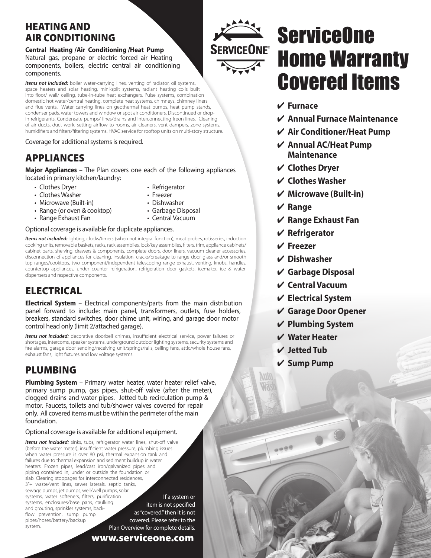## HEATING AND AIR CONDITIONING

### **Central Heating /Air Conditioning /Heat Pump**  Natural gas, propane or electric forced air Heating components, boilers, electric central air conditioning components.

*Items not included:* boiler water-carrying lines, venting of radiator, oil systems, space heaters and solar heating, mini-split systems, radiant heating coils built into floor/ wall/ ceiling, tube-in-tube heat exchangers, Pulse systems, combination domestic hot water/central heating, complete heat systems, chimneys, chimney liners and flue vents. Water carrying lines on geothermal heat pumps, heat pump stands, condenser pads, water towers and window or spot air conditioners. Discontinued or dropin refrigerants. Condensate pumps/ lines/drains and interconnecting freon lines. Cleaning of air ducts, duct work, setting airflow to rooms, air cleaners, vent dampers, zone systems, humidifiers and filters/filtering systems. HVAC service for rooftop units on multi-story structure.

#### Coverage for additional systems is required.

## APPLIANCES

**Major Appliances** – The Plan covers one each of the following appliances located in primary kitchen/laundry:

- Clothes Dryer
- Clothes Washer
- Microwave (Built-in)
- Range (or oven & cooktop)
- Range Exhaust Fan
- Optional coverage is available for duplicate appliances.

*Items not included:* lighting, clocks/timers (when not integral function), meat probes, rotisseries, induction cooking units, removable baskets, racks, rack assemblies, lock/key assemblies, filters, trim, appliance cabinets/ cabinet parts, shelving, drawers & components, complete doors, door liners, vacuum cleaner accessories, disconnection of appliances for cleaning, insulation, cracks/breakage to range door glass and/or smooth top ranges/cooktops, two component/independent telescoping range exhaust, venting, knobs, handles, countertop appliances, under counter refrigeration, refrigeration door gaskets, icemaker, ice & water dispensers and respective components.

## **ELECTRICAL**

**Electrical System** – Electrical components/parts from the main distribution panel forward to include: main panel, transformers, outlets, fuse holders, breakers, standard switches, door chime unit, wiring, and garage door motor control head only (limit 2/attached garage).

*Items not included:* decorative doorbell chimes, insufficient electrical service, power failures or shortages, intercoms, speaker systems, underground outdoor lighting systems, security systems and fire alarms, garage door sending/receiving unit/springs/rails, ceiling fans, attic/whole house fans, exhaust fans, light fixtures and low voltage systems.

### PLUMBING

**Plumbing System** – Primary water heater, water heater relief valve, primary sump pump, gas pipes, shut-off valve (after the meter), clogged drains and water pipes. Jetted tub recirculation pump & motor. Faucets, toilets and tub/shower valves covered for repair only. All covered items must be within the perimeter of the main foundation.

### Optional coverage is available for additional equipment.

*Items not included:* sinks, tubs, refrigerator water lines, shut-off valve (before the water meter), insufficient water pressure, plumbing issues when water pressure is over 80 psi, thermal expansion tank and failures due to thermal expansion and sediment buildup in water heaters. Frozen pipes, lead/cast iron/galvanized pipes and piping contained in, under or outside the foundation or slab. Clearing stoppages for interconnected residences, 3"+ waste/vent lines, sewer laterals, septic tanks, sewage pumps, jet pumps, well/well pumps, solar systems, water softeners, filters, purification systems, enclosures/base pans, caulking and grouting, sprinkler systems, backflow prevention, sump pump pipes/hoses/battery/backup system. If a system or item is not specified as "covered," then it is not covered. Please refer to the Plan Overview for complete details.

www.serviceone.com

- Refrigerator
- Freezer
- Dishwasher
- Garbage Disposal
- Central Vacuum

## **ServiceOne** Home Warranty Covered Items

- 4 **Furnace**
- 4 **Annual Furnace Maintenance**
- 4 **Air Conditioner/Heat Pump**
- 4 **Annual AC/Heat Pump Maintenance**
- 4 **Clothes Dryer**
- 4 **Clothes Washer**
- 4 **Microwave (Built-in)**
- 4 **Range**
- 4 **Range Exhaust Fan**
- 4 **Refrigerator**
- 4 **Freezer**
- 4 **Dishwasher**
- 4 **Garbage Disposal**
- 4 **Central Vacuum**
- 4 **Electrical System**
- 4 **Garage Door Opener**
- 4 **Plumbing System**
- 4 **Water Heater**
- 4 **Jetted Tub**

AUTO

 $0.089$ 

4 **Sump Pump**